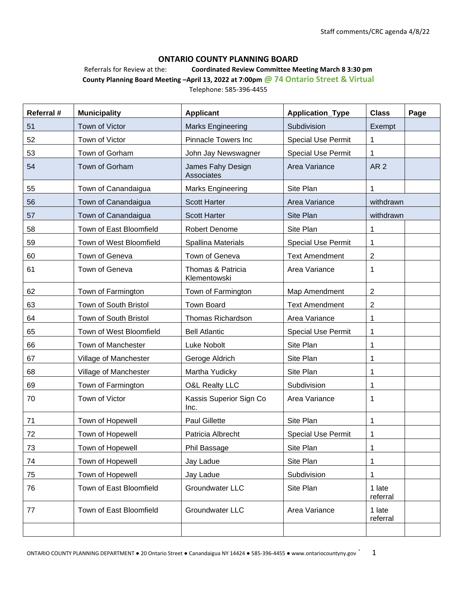#### **ONTARIO COUNTY PLANNING BOARD**

Referrals for Review at the: **Coordinated Review Committee Meeting March 8 3:30 pm**

**County Planning Board Meeting –April 13, 2022 at 7:00pm @ 74 Ontario Street & Virtual** Telephone: 585-396-4455

| Referral # | <b>Municipality</b>     | <b>Applicant</b>                  | Application_Type          | <b>Class</b>       | Page |
|------------|-------------------------|-----------------------------------|---------------------------|--------------------|------|
| 51         | Town of Victor          | <b>Marks Engineering</b>          | Subdivision               | Exempt             |      |
| 52         | Town of Victor          | <b>Pinnacle Towers Inc</b>        | <b>Special Use Permit</b> | 1                  |      |
| 53         | Town of Gorham          | John Jay Newswagner               | <b>Special Use Permit</b> | 1                  |      |
| 54         | Town of Gorham          | James Fahy Design<br>Associates   | Area Variance             | AR <sub>2</sub>    |      |
| 55         | Town of Canandaigua     | <b>Marks Engineering</b>          | Site Plan                 | 1                  |      |
| 56         | Town of Canandaigua     | <b>Scott Harter</b>               | Area Variance             | withdrawn          |      |
| 57         | Town of Canandaigua     | <b>Scott Harter</b>               | Site Plan                 | withdrawn          |      |
| 58         | Town of East Bloomfield | <b>Robert Denome</b>              | Site Plan                 | 1                  |      |
| 59         | Town of West Bloomfield | Spallina Materials                | <b>Special Use Permit</b> | 1                  |      |
| 60         | Town of Geneva          | Town of Geneva                    | <b>Text Amendment</b>     | $\overline{c}$     |      |
| 61         | Town of Geneva          | Thomas & Patricia<br>Klementowski | Area Variance             | 1                  |      |
| 62         | Town of Farmington      | Town of Farmington                | Map Amendment             | $\overline{2}$     |      |
| 63         | Town of South Bristol   | <b>Town Board</b>                 | <b>Text Amendment</b>     | 2                  |      |
| 64         | Town of South Bristol   | Thomas Richardson                 | Area Variance             | 1                  |      |
| 65         | Town of West Bloomfield | <b>Bell Atlantic</b>              | <b>Special Use Permit</b> | 1                  |      |
| 66         | Town of Manchester      | Luke Nobolt                       | Site Plan                 | 1                  |      |
| 67         | Village of Manchester   | Geroge Aldrich                    | Site Plan                 | 1                  |      |
| 68         | Village of Manchester   | Martha Yudicky                    | Site Plan                 | 1                  |      |
| 69         | Town of Farmington      | <b>O&amp;L Realty LLC</b>         | Subdivision               | 1                  |      |
| 70         | Town of Victor          | Kassis Superior Sign Co<br>Inc.   | Area Variance             | 1                  |      |
| 71         | Town of Hopewell        | <b>Paul Gillette</b>              | Site Plan                 | 1                  |      |
| 72         | Town of Hopewell        | Patricia Albrecht                 | <b>Special Use Permit</b> | 1                  |      |
| 73         | Town of Hopewell        | Phil Bassage                      | Site Plan                 | 1                  |      |
| 74         | Town of Hopewell        | Jay Ladue                         | Site Plan                 | 1                  |      |
| 75         | Town of Hopewell        | Jay Ladue                         | Subdivision               | 1                  |      |
| 76         | Town of East Bloomfield | Groundwater LLC                   | Site Plan                 | 1 late<br>referral |      |
| 77         | Town of East Bloomfield | Groundwater LLC                   | Area Variance             | 1 late<br>referral |      |
|            |                         |                                   |                           |                    |      |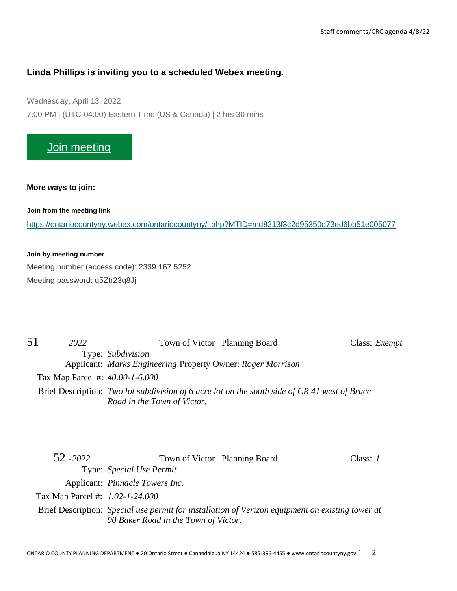# **Linda Phillips is inviting you to a scheduled Webex meeting.**

Wednesday, April 13, 2022 7:00 PM | (UTC-04:00) Eastern Time (US & Canada) | 2 hrs 30 mins

# [Join meeting](https://ontariocountyny.webex.com/ontariocountyny/j.php?MTID=md8213f3c2d95350d73ed6bb51e005077)

#### **More ways to join:**

**Join from the meeting link**

<https://ontariocountyny.webex.com/ontariocountyny/j.php?MTID=md8213f3c2d95350d73ed6bb51e005077>

#### **Join by meeting number**

Meeting number (access code): 2339 167 5252 Meeting password: q5Ztr23q8Jj

| 51 | $-2022$                         | Town of Victor Planning Board                                                                 | Class: <i>Exempt</i> |
|----|---------------------------------|-----------------------------------------------------------------------------------------------|----------------------|
|    |                                 | Type: Subdivision                                                                             |                      |
|    |                                 | Applicant: Marks Engineering Property Owner: Roger Morrison                                   |                      |
|    | Tax Map Parcel #: 40.00-1-6.000 |                                                                                               |                      |
|    |                                 | Brief Description: Two lot subdivision of 6 acre lot on the south side of CR 41 west of Brace |                      |
|    |                                 | Road in the Town of Victor.                                                                   |                      |

| 52 - 2022                       | Town of Victor Planning Board                                                                                                            | Class: $I$ |
|---------------------------------|------------------------------------------------------------------------------------------------------------------------------------------|------------|
|                                 | Type: Special Use Permit                                                                                                                 |            |
|                                 | Applicant: <i>Pinnacle Towers Inc.</i>                                                                                                   |            |
| Tax Map Parcel #: 1.02-1-24.000 |                                                                                                                                          |            |
|                                 | Brief Description: Special use permit for installation of Verizon equipment on existing tower at<br>90 Baker Road in the Town of Victor. |            |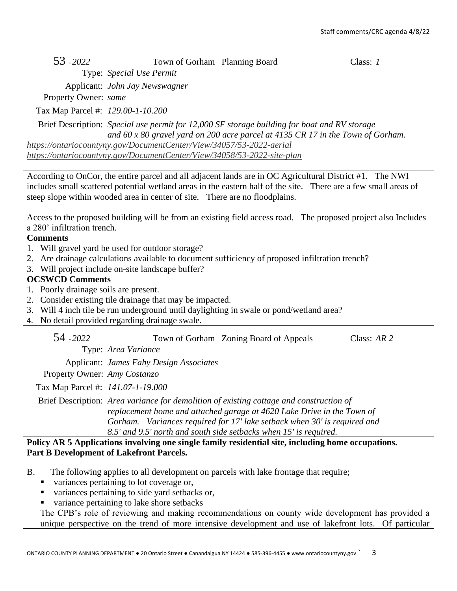| 53 - 2022 | Town of Gorham Planning Board | Class: 1 |
|-----------|-------------------------------|----------|
|           | Type: Special Use Permit      |          |

Applicant: *John Jay Newswagner*

Property Owner: *same*

Tax Map Parcel #: *129.00-1-10.200*

Brief Description: *Special use permit for 12,000 SF storage building for boat and RV storage and 60 x 80 gravel yard on 200 acre parcel at 4135 CR 17 in the Town of Gorham. <https://ontariocountyny.gov/DocumentCenter/View/34057/53-2022-aerial>*

*<https://ontariocountyny.gov/DocumentCenter/View/34058/53-2022-site-plan>*

According to OnCor, the entire parcel and all adjacent lands are in OC Agricultural District #1. The NWI includes small scattered potential wetland areas in the eastern half of the site. There are a few small areas of steep slope within wooded area in center of site. There are no floodplains.

Access to the proposed building will be from an existing field access road. The proposed project also Includes a 280' infiltration trench.

## **Comments**

- 1. Will gravel yard be used for outdoor storage?
- 2. Are drainage calculations available to document sufficiency of proposed infiltration trench?
- 3. Will project include on-site landscape buffer?

## **OCSWCD Comments**

- 1. Poorly drainage soils are present.
- 2. Consider existing tile drainage that may be impacted.
- 3. Will 4 inch tile be run underground until daylighting in swale or pond/wetland area?
- 4. No detail provided regarding drainage swale.

| 54 - 2022 | Town of Gorham Zoning Board of Appeals | Class: $AR$ 2 |
|-----------|----------------------------------------|---------------|
|           |                                        |               |

Type: *Area Variance*

Applicant: *James Fahy Design Associates*

Property Owner: *Amy Costanzo*

Tax Map Parcel #: *141.07-1-19.000*

Brief Description: *Area variance for demolition of existing cottage and construction of replacement home and attached garage at 4620 Lake Drive in the Town of Gorham. Variances required for 17' lake setback when 30' is required and 8.5' and 9.5' north and south side setbacks when 15' is required.*

#### **Policy AR 5 Applications involving one single family residential site, including home occupations. Part B Development of Lakefront Parcels.**

- B. The following applies to all development on parcels with lake frontage that require;
	- variances pertaining to lot coverage or,
	- variances pertaining to side yard setbacks or,
	- variance pertaining to lake shore setbacks

The CPB's role of reviewing and making recommendations on county wide development has provided a unique perspective on the trend of more intensive development and use of lakefront lots. Of particular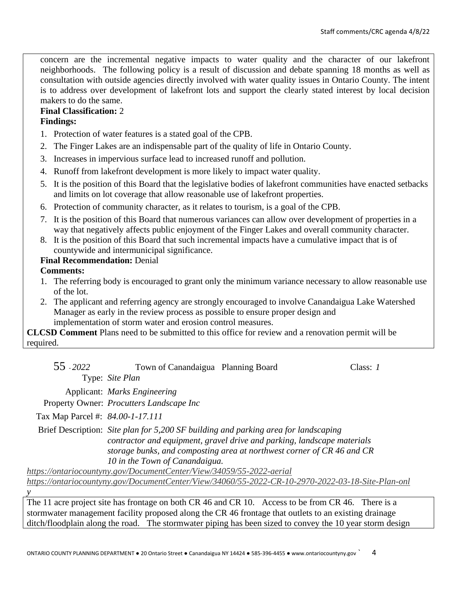concern are the incremental negative impacts to water quality and the character of our lakefront neighborhoods. The following policy is a result of discussion and debate spanning 18 months as well as consultation with outside agencies directly involved with water quality issues in Ontario County. The intent is to address over development of lakefront lots and support the clearly stated interest by local decision makers to do the same.

# **Final Classification:** 2

## **Findings:**

- 1. Protection of water features is a stated goal of the CPB.
- 2. The Finger Lakes are an indispensable part of the quality of life in Ontario County.
- 3. Increases in impervious surface lead to increased runoff and pollution.
- 4. Runoff from lakefront development is more likely to impact water quality.
- 5. It is the position of this Board that the legislative bodies of lakefront communities have enacted setbacks and limits on lot coverage that allow reasonable use of lakefront properties.
- 6. Protection of community character, as it relates to tourism, is a goal of the CPB.
- 7. It is the position of this Board that numerous variances can allow over development of properties in a way that negatively affects public enjoyment of the Finger Lakes and overall community character.
- 8. It is the position of this Board that such incremental impacts have a cumulative impact that is of countywide and intermunicipal significance.

## **Final Recommendation:** Denial

## **Comments:**

*y*

- 1. The referring body is encouraged to grant only the minimum variance necessary to allow reasonable use of the lot.
- 2. The applicant and referring agency are strongly encouraged to involve Canandaigua Lake Watershed Manager as early in the review process as possible to ensure proper design and implementation of storm water and erosion control measures.

**CLCSD Comment** Plans need to be submitted to this office for review and a renovation permit will be required.

| 55 - 2022                        | Town of Canandaigua Planning Board                                   |                                                                                                                                                                                                                                          | Class: 1 |
|----------------------------------|----------------------------------------------------------------------|------------------------------------------------------------------------------------------------------------------------------------------------------------------------------------------------------------------------------------------|----------|
|                                  | Type: Site Plan                                                      |                                                                                                                                                                                                                                          |          |
|                                  | Applicant: Marks Engineering                                         |                                                                                                                                                                                                                                          |          |
|                                  | Property Owner: Procutters Landscape Inc                             |                                                                                                                                                                                                                                          |          |
| Tax Map Parcel #: 84.00-1-17.111 |                                                                      |                                                                                                                                                                                                                                          |          |
|                                  | 10 in the Town of Canandaigua.                                       | Brief Description: Site plan for 5,200 SF building and parking area for landscaping<br>contractor and equipment, gravel drive and parking, landscape materials<br>storage bunks, and composting area at northwest corner of CR 46 and CR |          |
|                                  | https://ontariocountyny.gov/DocumentCenter/View/34059/55-2022-aerial |                                                                                                                                                                                                                                          |          |
|                                  |                                                                      | https://ontariocountyny.gov/DocumentCenter/View/34060/55-2022-CR-10-2970-2022-03-18-Site-Plan-onl                                                                                                                                        |          |

The 11 acre project site has frontage on both CR 46 and CR 10. Access to be from CR 46. There is a stormwater management facility proposed along the CR 46 frontage that outlets to an existing drainage ditch/floodplain along the road. The stormwater piping has been sized to convey the 10 year storm design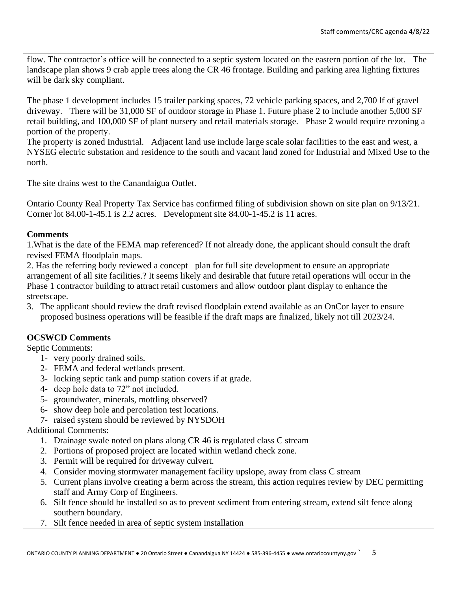flow. The contractor's office will be connected to a septic system located on the eastern portion of the lot. The landscape plan shows 9 crab apple trees along the CR 46 frontage. Building and parking area lighting fixtures will be dark sky compliant.

The phase 1 development includes 15 trailer parking spaces, 72 vehicle parking spaces, and 2,700 lf of gravel driveway. There will be 31,000 SF of outdoor storage in Phase 1. Future phase 2 to include another 5,000 SF retail building, and 100,000 SF of plant nursery and retail materials storage. Phase 2 would require rezoning a portion of the property.

The property is zoned Industrial. Adjacent land use include large scale solar facilities to the east and west, a NYSEG electric substation and residence to the south and vacant land zoned for Industrial and Mixed Use to the north.

The site drains west to the Canandaigua Outlet.

Ontario County Real Property Tax Service has confirmed filing of subdivision shown on site plan on 9/13/21. Corner lot 84.00-1-45.1 is 2.2 acres. Development site 84.00-1-45.2 is 11 acres.

## **Comments**

1.What is the date of the FEMA map referenced? If not already done, the applicant should consult the draft revised FEMA floodplain maps.

2. Has the referring body reviewed a concept plan for full site development to ensure an appropriate arrangement of all site facilities.? It seems likely and desirable that future retail operations will occur in the Phase 1 contractor building to attract retail customers and allow outdoor plant display to enhance the streetscape.

3. The applicant should review the draft revised floodplain extend available as an OnCor layer to ensure proposed business operations will be feasible if the draft maps are finalized, likely not till 2023/24.

# **OCSWCD Comments**

Septic Comments:

- 1- very poorly drained soils.
- 2- FEMA and federal wetlands present.
- 3- locking septic tank and pump station covers if at grade.
- 4- deep hole data to 72" not included.
- 5- groundwater, minerals, mottling observed?
- 6- show deep hole and percolation test locations.
- 7- raised system should be reviewed by NYSDOH

## Additional Comments:

- 1. Drainage swale noted on plans along CR 46 is regulated class C stream
- 2. Portions of proposed project are located within wetland check zone.
- 3. Permit will be required for driveway culvert.
- 4. Consider moving stormwater management facility upslope, away from class C stream
- 5. Current plans involve creating a berm across the stream, this action requires review by DEC permitting staff and Army Corp of Engineers.
- 6. Silt fence should be installed so as to prevent sediment from entering stream, extend silt fence along southern boundary.
- 7. Silt fence needed in area of septic system installation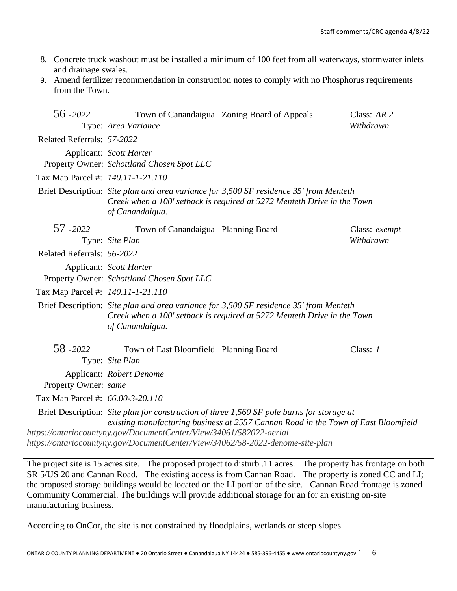- 8. Concrete truck washout must be installed a minimum of 100 feet from all waterways, stormwater inlets and drainage swales.
- 9. Amend fertilizer recommendation in construction notes to comply with no Phosphorus requirements from the Town.

| 56 - 2022                         | Type: Area Variance                                                   | Town of Canandaigua Zoning Board of Appeals                                                                                                                                     | Class: $AR$ 2<br>Withdrawn |
|-----------------------------------|-----------------------------------------------------------------------|---------------------------------------------------------------------------------------------------------------------------------------------------------------------------------|----------------------------|
| Related Referrals: 57-2022        |                                                                       |                                                                                                                                                                                 |                            |
|                                   | Applicant: Scott Harter<br>Property Owner: Schottland Chosen Spot LLC |                                                                                                                                                                                 |                            |
| Tax Map Parcel #: 140.11-1-21.110 |                                                                       |                                                                                                                                                                                 |                            |
|                                   | of Canandaigua.                                                       | Brief Description: Site plan and area variance for 3,500 SF residence 35' from Menteth<br>Creek when a 100' setback is required at 5272 Menteth Drive in the Town               |                            |
| 57 - 2022                         | Town of Canandaigua Planning Board<br>Type: Site Plan                 |                                                                                                                                                                                 | Class: exempt<br>Withdrawn |
| Related Referrals: 56-2022        |                                                                       |                                                                                                                                                                                 |                            |
|                                   | Applicant: Scott Harter<br>Property Owner: Schottland Chosen Spot LLC |                                                                                                                                                                                 |                            |
| Tax Map Parcel #: 140.11-1-21.110 |                                                                       |                                                                                                                                                                                 |                            |
|                                   | of Canandaigua.                                                       | Brief Description: Site plan and area variance for 3,500 SF residence 35' from Menteth<br>Creek when a 100' setback is required at 5272 Menteth Drive in the Town               |                            |
| 58 - 2022                         | Town of East Bloomfield Planning Board<br>Type: Site Plan             |                                                                                                                                                                                 | Class: $1$                 |
|                                   | Applicant: Robert Denome                                              |                                                                                                                                                                                 |                            |
| Property Owner: same              |                                                                       |                                                                                                                                                                                 |                            |
| Tax Map Parcel #: 66.00-3-20.110  |                                                                       |                                                                                                                                                                                 |                            |
|                                   |                                                                       | Brief Description: Site plan for construction of three 1,560 SF pole barns for storage at<br>existing manufacturing business at 2557 Cannan Road in the Town of East Bloomfield |                            |
|                                   | https://ontariocountyny.gov/DocumentCenter/View/34061/582022-aerial   | https://ontariocountyny.gov/DocumentCenter/View/34062/58-2022-denome-site-plan                                                                                                  |                            |

The project site is 15 acres site. The proposed project to disturb .11 acres. The property has frontage on both SR 5/US 20 and Cannan Road. The existing access is from Cannan Road. The property is zoned CC and LI; the proposed storage buildings would be located on the LI portion of the site. Cannan Road frontage is zoned Community Commercial. The buildings will provide additional storage for an for an existing on-site manufacturing business.

According to OnCor, the site is not constrained by floodplains, wetlands or steep slopes.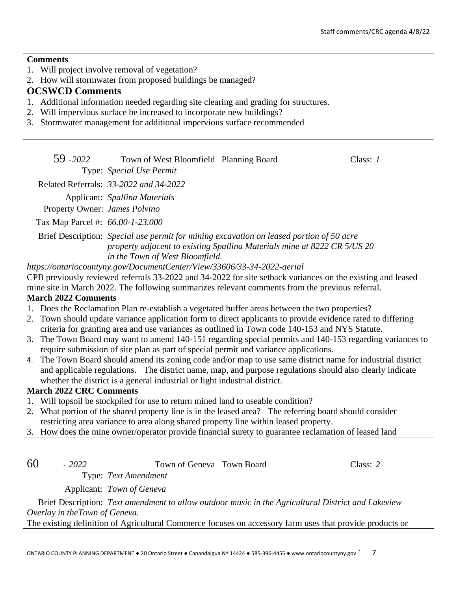#### **Comments**

- 1. Will project involve removal of vegetation?
- 2. How will stormwater from proposed buildings be managed?

# **OCSWCD Comments**

- 1. Additional information needed regarding site clearing and grading for structures.
- 2. Will impervious surface be increased to incorporate new buildings?
- 3. Stormwater management for additional impervious surface recommended

| 59 - 2022 | Town of West Bloomfield Planning Board     | Class: 1 |  |
|-----------|--------------------------------------------|----------|--|
|           | Type: <i>Special Use Permit</i>            |          |  |
|           | $1 + 1$ D $2 + 1 - 22$ $2022 - 124$ $2022$ |          |  |

Related Referrals: *33-2022 and 34-2022*

Applicant: *Spallina Materials*

Property Owner: *James Polvino*

Tax Map Parcel #: *66.00-1-23.000*

Brief Description: *Special use permit for mining excavation on leased portion of 50 acre property adjacent to existing Spallina Materials mine at 8222 CR 5/US 20 in the Town of West Bloomfield.*

*https://ontariocountyny.gov/DocumentCenter/View/33606/33-34-2022-aerial*

CPB previously reviewed referrals 33-2022 and 34-2022 for site setback variances on the existing and leased mine site in March 2022. The following summarizes relevant comments from the previous referral.

## **March 2022 Comments**

- 1. Does the Reclamation Plan re-establish a vegetated buffer areas between the two properties?
- 2. Town should update variance application form to direct applicants to provide evidence rated to differing criteria for granting area and use variances as outlined in Town code 140-153 and NYS Statute.
- 3. The Town Board may want to amend 140-151 regarding special permits and 140-153 regarding variances to require submission of site plan as part of special permit and variance applications.
- 4. The Town Board should amend its zoning code and/or map to use same district name for industrial district and applicable regulations. The district name, map, and purpose regulations should also clearly indicate whether the district is a general industrial or light industrial district.

# **March 2022 CRC Comments**

- 1. Will topsoil be stockpiled for use to return mined land to useable condition?
- 2. What portion of the shared property line is in the leased area? The referring board should consider restricting area variance to area along shared property line within leased property.
- 3. How does the mine owner/operator provide financial surety to guarantee reclamation of leased land

60 - *2022* Town of Geneva Town Board Class: *2*

Applicant: *Town of Geneva*

Type: *Text Amendment*

Brief Description: *Text amendment to allow outdoor music in the Agricultural District and Lakeview Overlay in theTown of Geneva.*

The existing definition of Agricultural Commerce focuses on accessory farm uses that provide products or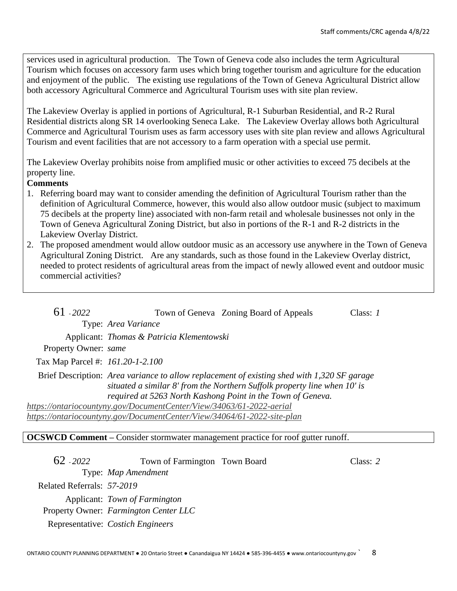services used in agricultural production. The Town of Geneva code also includes the term Agricultural Tourism which focuses on accessory farm uses which bring together tourism and agriculture for the education and enjoyment of the public. The existing use regulations of the Town of Geneva Agricultural District allow both accessory Agricultural Commerce and Agricultural Tourism uses with site plan review.

The Lakeview Overlay is applied in portions of Agricultural, R-1 Suburban Residential, and R-2 Rural Residential districts along SR 14 overlooking Seneca Lake. The Lakeview Overlay allows both Agricultural Commerce and Agricultural Tourism uses as farm accessory uses with site plan review and allows Agricultural Tourism and event facilities that are not accessory to a farm operation with a special use permit.

The Lakeview Overlay prohibits noise from amplified music or other activities to exceed 75 decibels at the property line.

## **Comments**

- 1. Referring board may want to consider amending the definition of Agricultural Tourism rather than the definition of Agricultural Commerce, however, this would also allow outdoor music (subject to maximum 75 decibels at the property line) associated with non-farm retail and wholesale businesses not only in the Town of Geneva Agricultural Zoning District, but also in portions of the R-1 and R-2 districts in the Lakeview Overlay District.
- 2. The proposed amendment would allow outdoor music as an accessory use anywhere in the Town of Geneva Agricultural Zoning District. Are any standards, such as those found in the Lakeview Overlay district, needed to protect residents of agricultural areas from the impact of newly allowed event and outdoor music commercial activities?

| $61 - 2022$                      |                                                                         | Town of Geneva Zoning Board of Appeals                                                                                                                                   | Class: $I$ |
|----------------------------------|-------------------------------------------------------------------------|--------------------------------------------------------------------------------------------------------------------------------------------------------------------------|------------|
|                                  | Type: Area Variance                                                     |                                                                                                                                                                          |            |
|                                  | Applicant: Thomas & Patricia Klementowski                               |                                                                                                                                                                          |            |
| Property Owner: same             |                                                                         |                                                                                                                                                                          |            |
| Tax Map Parcel #: 161.20-1-2.100 |                                                                         |                                                                                                                                                                          |            |
|                                  | required at 5263 North Kashong Point in the Town of Geneva.             | Brief Description: Area variance to allow replacement of existing shed with 1,320 SF garage<br>situated a similar 8' from the Northern Suffolk property line when 10' is |            |
|                                  | https://ontariocountyny.gov/DocumentCenter/View/34063/61-2022-aerial    |                                                                                                                                                                          |            |
|                                  | https://ontariocountyny.gov/DocumentCenter/View/34064/61-2022-site-plan |                                                                                                                                                                          |            |
|                                  |                                                                         |                                                                                                                                                                          |            |

#### **OCSWCD Comment –** Consider stormwater management practice for roof gutter runoff.

| 62 - 2022                  | Town of Farmington Town Board         | Class: 2 |
|----------------------------|---------------------------------------|----------|
|                            | Type: Map Amendment                   |          |
| Related Referrals: 57-2019 |                                       |          |
|                            | Applicant: Town of Farmington         |          |
|                            | Property Owner: Farmington Center LLC |          |
|                            | Representative: Costich Engineers     |          |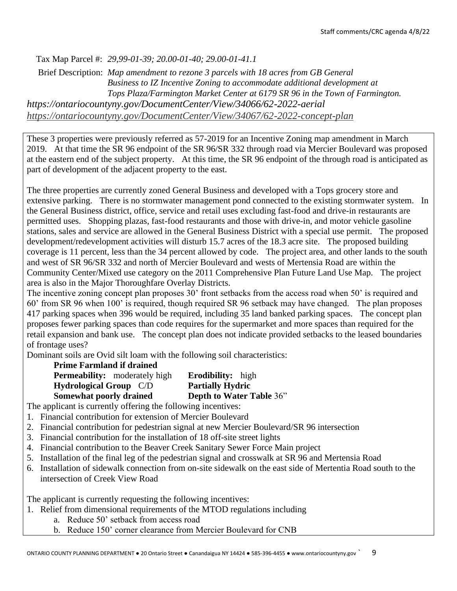Tax Map Parcel #: *29,99-01-39; 20.00-01-40; 29.00-01-41.1*

Brief Description: *Map amendment to rezone 3 parcels with 18 acres from GB General Business to IZ Incentive Zoning to accommodate additional development at Tops Plaza/Farmington Market Center at 6179 SR 96 in the Town of Farmington. https://ontariocountyny.gov/DocumentCenter/View/34066/62-2022-aerial <https://ontariocountyny.gov/DocumentCenter/View/34067/62-2022-concept-plan>*

These 3 properties were previously referred as 57-2019 for an Incentive Zoning map amendment in March 2019. At that time the SR 96 endpoint of the SR 96/SR 332 through road via Mercier Boulevard was proposed at the eastern end of the subject property. At this time, the SR 96 endpoint of the through road is anticipated as part of development of the adjacent property to the east.

The three properties are currently zoned General Business and developed with a Tops grocery store and extensive parking. There is no stormwater management pond connected to the existing stormwater system. In the General Business district, office, service and retail uses excluding fast-food and drive-in restaurants are permitted uses. Shopping plazas, fast-food restaurants and those with drive-in, and motor vehicle gasoline stations, sales and service are allowed in the General Business District with a special use permit. The proposed development/redevelopment activities will disturb 15.7 acres of the 18.3 acre site. The proposed building coverage is 11 percent, less than the 34 percent allowed by code. The project area, and other lands to the south and west of SR 96/SR 332 and north of Mercier Boulevard and wests of Mertensia Road are within the Community Center/Mixed use category on the 2011 Comprehensive Plan Future Land Use Map. The project area is also in the Major Thoroughfare Overlay Districts.

The incentive zoning concept plan proposes 30' front setbacks from the access road when 50' is required and 60' from SR 96 when 100' is required, though required SR 96 setback may have changed. The plan proposes 417 parking spaces when 396 would be required, including 35 land banked parking spaces. The concept plan proposes fewer parking spaces than code requires for the supermarket and more spaces than required for the retail expansion and bank use. The concept plan does not indicate provided setbacks to the leased boundaries of frontage uses?

Dominant soils are Ovid silt loam with the following soil characteristics:

| <b>Prime Farmland if drained</b>     |                          |
|--------------------------------------|--------------------------|
| <b>Permeability:</b> moderately high | <b>Erodibility:</b> high |
| <b>Hydrological Group</b> C/D        | <b>Partially Hydric</b>  |
| Somewhat poorly drained              | Depth to Water Table 36" |

The applicant is currently offering the following incentives:

- 1. Financial contribution for extension of Mercier Boulevard
- 2. Financial contribution for pedestrian signal at new Mercier Boulevard/SR 96 intersection
- 3. Financial contribution for the installation of 18 off-site street lights
- 4. Financial contribution to the Beaver Creek Sanitary Sewer Force Main project
- 5. Installation of the final leg of the pedestrian signal and crosswalk at SR 96 and Mertensia Road
- 6. Installation of sidewalk connection from on-site sidewalk on the east side of Mertentia Road south to the intersection of Creek View Road

The applicant is currently requesting the following incentives:

- 1. Relief from dimensional requirements of the MTOD regulations including
	- a. Reduce 50' setback from access road
	- b. Reduce 150' corner clearance from Mercier Boulevard for CNB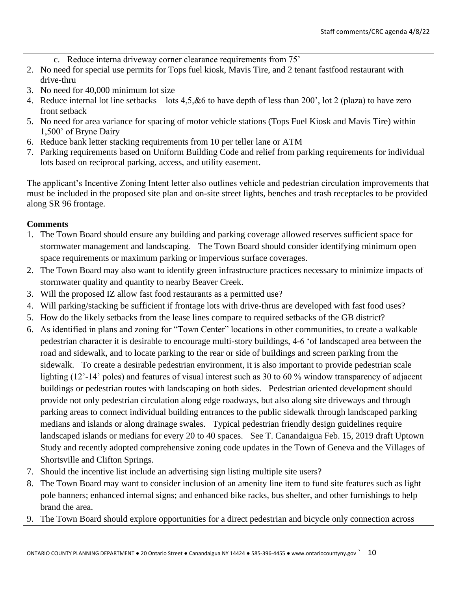- c. Reduce interna driveway corner clearance requirements from 75'
- 2. No need for special use permits for Tops fuel kiosk, Mavis Tire, and 2 tenant fastfood restaurant with drive-thru
- 3. No need for 40,000 minimum lot size
- 4. Reduce internal lot line setbacks lots 4,5,&6 to have depth of less than 200', lot 2 (plaza) to have zero front setback
- 5. No need for area variance for spacing of motor vehicle stations (Tops Fuel Kiosk and Mavis Tire) within 1,500' of Bryne Dairy
- 6. Reduce bank letter stacking requirements from 10 per teller lane or ATM
- 7. Parking requirements based on Uniform Building Code and relief from parking requirements for individual lots based on reciprocal parking, access, and utility easement.

The applicant's Incentive Zoning Intent letter also outlines vehicle and pedestrian circulation improvements that must be included in the proposed site plan and on-site street lights, benches and trash receptacles to be provided along SR 96 frontage.

## **Comments**

- 1. The Town Board should ensure any building and parking coverage allowed reserves sufficient space for stormwater management and landscaping. The Town Board should consider identifying minimum open space requirements or maximum parking or impervious surface coverages.
- 2. The Town Board may also want to identify green infrastructure practices necessary to minimize impacts of stormwater quality and quantity to nearby Beaver Creek.
- 3. Will the proposed IZ allow fast food restaurants as a permitted use?
- 4. Will parking/stacking be sufficient if frontage lots with drive-thrus are developed with fast food uses?
- 5. How do the likely setbacks from the lease lines compare to required setbacks of the GB district?
- 6. As identified in plans and zoning for "Town Center" locations in other communities, to create a walkable pedestrian character it is desirable to encourage multi-story buildings, 4-6 'of landscaped area between the road and sidewalk, and to locate parking to the rear or side of buildings and screen parking from the sidewalk. To create a desirable pedestrian environment, it is also important to provide pedestrian scale lighting (12'-14' poles) and features of visual interest such as 30 to 60 % window transparency of adjacent buildings or pedestrian routes with landscaping on both sides. Pedestrian oriented development should provide not only pedestrian circulation along edge roadways, but also along site driveways and through parking areas to connect individual building entrances to the public sidewalk through landscaped parking medians and islands or along drainage swales. Typical pedestrian friendly design guidelines require landscaped islands or medians for every 20 to 40 spaces. See T. Canandaigua Feb. 15, 2019 draft Uptown Study and recently adopted comprehensive zoning code updates in the Town of Geneva and the Villages of Shortsville and Clifton Springs.
- 7. Should the incentive list include an advertising sign listing multiple site users?
- 8. The Town Board may want to consider inclusion of an amenity line item to fund site features such as light pole banners; enhanced internal signs; and enhanced bike racks, bus shelter, and other furnishings to help brand the area.
- 9. The Town Board should explore opportunities for a direct pedestrian and bicycle only connection across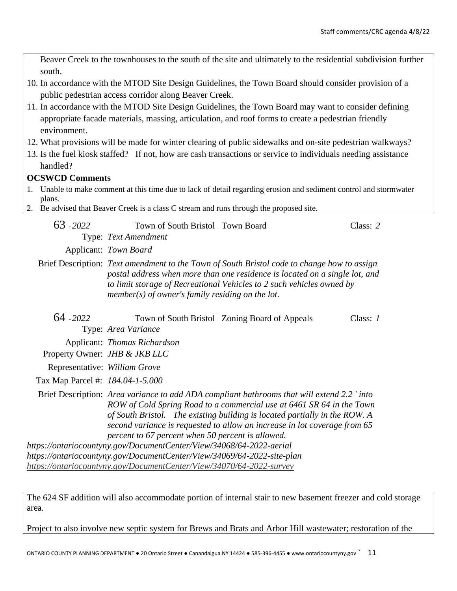Beaver Creek to the townhouses to the south of the site and ultimately to the residential subdivision further south. 10. In accordance with the MTOD Site Design Guidelines, the Town Board should consider provision of a public pedestrian access corridor along Beaver Creek. 11. In accordance with the MTOD Site Design Guidelines, the Town Board may want to consider defining appropriate facade materials, massing, articulation, and roof forms to create a pedestrian friendly environment. 12. What provisions will be made for winter clearing of public sidewalks and on-site pedestrian walkways? 13. Is the fuel kiosk staffed? If not, how are cash transactions or service to individuals needing assistance handled? **OCSWCD Comments** 1. Unable to make comment at this time due to lack of detail regarding erosion and sediment control and stormwater plans. 2. Be advised that Beaver Creek is a class C stream and runs through the proposed site. 63 - *2022* Town of South Bristol Town Board Class: *2* Type: *Text Amendment* Applicant: *Town Board* Brief Description: *Text amendment to the Town of South Bristol code to change how to assign postal address when more than one residence is located on a single lot, and to limit storage of Recreational Vehicles to 2 such vehicles owned by member(s) of owner's family residing on the lot.* 64 - *2022* Town of South Bristol Zoning Board of Appeals Class: *1* Type: *Area Variance* Applicant: *Thomas Richardson* Property Owner: *JHB & JKB LLC* Representative: *William Grove* Tax Map Parcel #: *184.04-1-5.000* Brief Description: *Area variance to add ADA compliant bathrooms that will extend 2.2 ' into ROW of Cold Spring Road to a commercial use at 6461 SR 64 in the Town of South Bristol. The existing building is located partially in the ROW. A second variance is requested to allow an increase in lot coverage from 65 percent to 67 percent when 50 percent is allowed. https://ontariocountyny.gov/DocumentCenter/View/34068/64-2022-aerial https://ontariocountyny.gov/DocumentCenter/View/34069/64-2022-site-plan <https://ontariocountyny.gov/DocumentCenter/View/34070/64-2022-survey>*

The 624 SF addition will also accommodate portion of internal stair to new basement freezer and cold storage area.

Project to also involve new septic system for Brews and Brats and Arbor Hill wastewater; restoration of the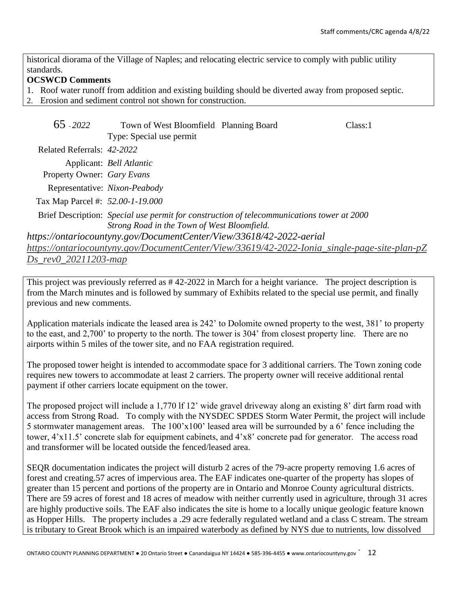historical diorama of the Village of Naples; and relocating electric service to comply with public utility standards.

## **OCSWCD Comments**

- 1. Roof water runoff from addition and existing building should be diverted away from proposed septic.
- 2. Erosion and sediment control not shown for construction.

| 65 - 2022                        | Town of West Bloomfield Planning Board                               |                                                                                              | Class:1 |
|----------------------------------|----------------------------------------------------------------------|----------------------------------------------------------------------------------------------|---------|
|                                  | Type: Special use permit                                             |                                                                                              |         |
| Related Referrals: 42-2022       |                                                                      |                                                                                              |         |
|                                  | Applicant: <i>Bell Atlantic</i>                                      |                                                                                              |         |
| Property Owner: Gary Evans       |                                                                      |                                                                                              |         |
| Representative: Nixon-Peabody    |                                                                      |                                                                                              |         |
| Tax Map Parcel #: 52.00-1-19.000 |                                                                      |                                                                                              |         |
|                                  |                                                                      | Brief Description: Special use permit for construction of telecommunications tower at 2000   |         |
|                                  | Strong Road in the Town of West Bloomfield.                          |                                                                                              |         |
|                                  | https://ontariocountyny.gov/DocumentCenter/View/33618/42-2022-aerial |                                                                                              |         |
|                                  |                                                                      | https://ontariocountyny.gov/DocumentCenter/View/33619/42-2022-Ionia_single-page-site-plan-pZ |         |
| Ds_rev0_20211203-map             |                                                                      |                                                                                              |         |

This project was previously referred as # 42-2022 in March for a height variance. The project description is from the March minutes and is followed by summary of Exhibits related to the special use permit, and finally previous and new comments.

Application materials indicate the leased area is 242' to Dolomite owned property to the west, 381' to property to the east, and 2,700' to property to the north. The tower is 304' from closest property line. There are no airports within 5 miles of the tower site, and no FAA registration required.

The proposed tower height is intended to accommodate space for 3 additional carriers. The Town zoning code requires new towers to accommodate at least 2 carriers. The property owner will receive additional rental payment if other carriers locate equipment on the tower.

The proposed project will include a 1,770 lf 12' wide gravel driveway along an existing 8' dirt farm road with access from Strong Road. To comply with the NYSDEC SPDES Storm Water Permit, the project will include 5 stormwater management areas. The 100'x100' leased area will be surrounded by a 6' fence including the tower, 4'x11.5' concrete slab for equipment cabinets, and 4'x8' concrete pad for generator. The access road and transformer will be located outside the fenced/leased area.

SEQR documentation indicates the project will disturb 2 acres of the 79-acre property removing 1.6 acres of forest and creating.57 acres of impervious area. The EAF indicates one-quarter of the property has slopes of greater than 15 percent and portions of the property are in Ontario and Monroe County agricultural districts. There are 59 acres of forest and 18 acres of meadow with neither currently used in agriculture, through 31 acres are highly productive soils. The EAF also indicates the site is home to a locally unique geologic feature known as Hopper Hills. The property includes a .29 acre federally regulated wetland and a class C stream. The stream is tributary to Great Brook which is an impaired waterbody as defined by NYS due to nutrients, low dissolved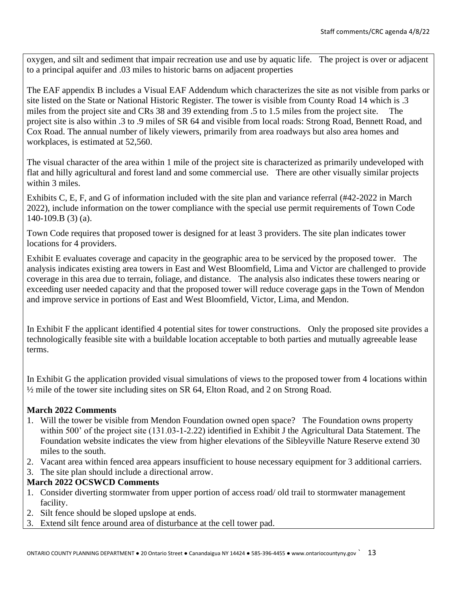oxygen, and silt and sediment that impair recreation use and use by aquatic life. The project is over or adjacent to a principal aquifer and .03 miles to historic barns on adjacent properties

The EAF appendix B includes a Visual EAF Addendum which characterizes the site as not visible from parks or site listed on the State or National Historic Register. The tower is visible from County Road 14 which is .3 miles from the project site and CRs 38 and 39 extending from .5 to 1.5 miles from the project site. The project site is also within .3 to .9 miles of SR 64 and visible from local roads: Strong Road, Bennett Road, and Cox Road. The annual number of likely viewers, primarily from area roadways but also area homes and workplaces, is estimated at 52,560.

The visual character of the area within 1 mile of the project site is characterized as primarily undeveloped with flat and hilly agricultural and forest land and some commercial use. There are other visually similar projects within 3 miles.

Exhibits C, E, F, and G of information included with the site plan and variance referral (#42-2022 in March 2022), include information on the tower compliance with the special use permit requirements of Town Code 140-109.B (3) (a).

Town Code requires that proposed tower is designed for at least 3 providers. The site plan indicates tower locations for 4 providers.

Exhibit E evaluates coverage and capacity in the geographic area to be serviced by the proposed tower. The analysis indicates existing area towers in East and West Bloomfield, Lima and Victor are challenged to provide coverage in this area due to terrain, foliage, and distance. The analysis also indicates these towers nearing or exceeding user needed capacity and that the proposed tower will reduce coverage gaps in the Town of Mendon and improve service in portions of East and West Bloomfield, Victor, Lima, and Mendon.

In Exhibit F the applicant identified 4 potential sites for tower constructions. Only the proposed site provides a technologically feasible site with a buildable location acceptable to both parties and mutually agreeable lease terms.

In Exhibit G the application provided visual simulations of views to the proposed tower from 4 locations within ½ mile of the tower site including sites on SR 64, Elton Road, and 2 on Strong Road.

## **March 2022 Comments**

- 1. Will the tower be visible from Mendon Foundation owned open space? The Foundation owns property within 500' of the project site (131.03-1-2.22) identified in Exhibit J the Agricultural Data Statement. The Foundation website indicates the view from higher elevations of the Sibleyville Nature Reserve extend 30 miles to the south.
- 2. Vacant area within fenced area appears insufficient to house necessary equipment for 3 additional carriers.
- 3. The site plan should include a directional arrow.

## **March 2022 OCSWCD Comments**

- 1. Consider diverting stormwater from upper portion of access road/ old trail to stormwater management facility.
- 2. Silt fence should be sloped upslope at ends.
- 3. Extend silt fence around area of disturbance at the cell tower pad.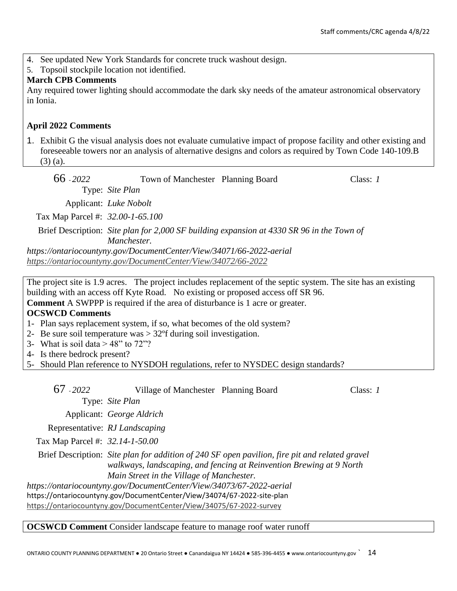- 4. See updated New York Standards for concrete truck washout design.
- 5. Topsoil stockpile location not identified.

## **March CPB Comments**

Any required tower lighting should accommodate the dark sky needs of the amateur astronomical observatory in Ionia.

## **April 2022 Comments**

1. Exhibit G the visual analysis does not evaluate cumulative impact of propose facility and other existing and foreseeable towers nor an analysis of alternative designs and colors as required by Town Code 140-109.B (3) (a).

| 66 - 2022                        | Town of Manchester Planning Board                                    |                                                                                           | Class: $1$ |
|----------------------------------|----------------------------------------------------------------------|-------------------------------------------------------------------------------------------|------------|
|                                  | Type: Site Plan                                                      |                                                                                           |            |
|                                  | Applicant: Luke Nobolt                                               |                                                                                           |            |
| Tax Map Parcel #: 32.00-1-65.100 |                                                                      |                                                                                           |            |
|                                  |                                                                      | Brief Description: Site plan for 2,000 SF building expansion at 4330 SR 96 in the Town of |            |
|                                  | Manchester.                                                          |                                                                                           |            |
|                                  | https://ontariocountyny.gov/DocumentCenter/View/34071/66-2022-aerial |                                                                                           |            |
|                                  | https://ontariocountyny.gov/DocumentCenter/View/34072/66-2022        |                                                                                           |            |

The project site is 1.9 acres. The project includes replacement of the septic system. The site has an existing building with an access off Kyte Road. No existing or proposed access off SR 96. **Comment** A SWPPP is required if the area of disturbance is 1 acre or greater.

# **OCSWCD Comments**

- 1- Plan says replacement system, if so, what becomes of the old system?
- 2- Be sure soil temperature was > 32ºf during soil investigation.
- 3- What is soil data  $> 48$ " to 72"?

4- Is there bedrock present?

5- Should Plan reference to NYSDOH regulations, refer to NYSDEC design standards?

| 67 - 2022                       | Village of Manchester Planning Board                                                                                                                                                         |                                                                                                                                                                        | Class: 1 |
|---------------------------------|----------------------------------------------------------------------------------------------------------------------------------------------------------------------------------------------|------------------------------------------------------------------------------------------------------------------------------------------------------------------------|----------|
|                                 | Type: Site Plan                                                                                                                                                                              |                                                                                                                                                                        |          |
|                                 | Applicant: George Aldrich                                                                                                                                                                    |                                                                                                                                                                        |          |
|                                 | Representative: RJ Landscaping                                                                                                                                                               |                                                                                                                                                                        |          |
| Tax Map Parcel #: 32.14-1-50.00 |                                                                                                                                                                                              |                                                                                                                                                                        |          |
|                                 | Main Street in the Village of Manchester.<br>https://ontariocountyny.gov/DocumentCenter/View/34073/67-2022-aerial<br>https://ontariocountyny.gov/DocumentCenter/View/34074/67-2022-site-plan | Brief Description: Site plan for addition of 240 SF open pavilion, fire pit and related gravel<br>walkways, landscaping, and fencing at Reinvention Brewing at 9 North |          |
|                                 | https://ontariocountyny.gov/DocumentCenter/View/34075/67-2022-survey                                                                                                                         |                                                                                                                                                                        |          |

#### **OCSWCD Comment** Consider landscape feature to manage roof water runoff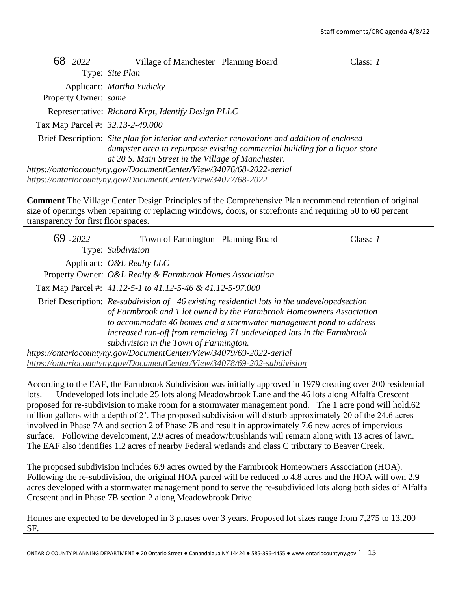| 68 - 2022                        | Village of Manchester Planning Board                                 |                                                                                                                                                                           | Class: $I$ |
|----------------------------------|----------------------------------------------------------------------|---------------------------------------------------------------------------------------------------------------------------------------------------------------------------|------------|
|                                  | Type: Site Plan                                                      |                                                                                                                                                                           |            |
|                                  | Applicant: <i>Martha Yudicky</i>                                     |                                                                                                                                                                           |            |
| Property Owner: same             |                                                                      |                                                                                                                                                                           |            |
|                                  | Representative: Richard Krpt, Identify Design PLLC                   |                                                                                                                                                                           |            |
| Tax Map Parcel #: 32.13-2-49.000 |                                                                      |                                                                                                                                                                           |            |
|                                  | at 20 S. Main Street in the Village of Manchester.                   | Brief Description: Site plan for interior and exterior renovations and addition of enclosed<br>dumpster area to repurpose existing commercial building for a liquor store |            |
|                                  | https://ontariocountyny.gov/DocumentCenter/View/34076/68-2022-aerial |                                                                                                                                                                           |            |
|                                  | https://ontariocountyny.gov/DocumentCenter/View/34077/68-2022        |                                                                                                                                                                           |            |

**Comment** The Village Center Design Principles of the Comprehensive Plan recommend retention of original size of openings when repairing or replacing windows, doors, or storefronts and requiring 50 to 60 percent transparency for first floor spaces.

| $69 - 2022$ | Town of Farmington Planning Board                                        |                                                                                                                                                                                                                                                                                                                     | Class: $I$ |
|-------------|--------------------------------------------------------------------------|---------------------------------------------------------------------------------------------------------------------------------------------------------------------------------------------------------------------------------------------------------------------------------------------------------------------|------------|
|             | Type: Subdivision                                                        |                                                                                                                                                                                                                                                                                                                     |            |
|             | Applicant: O&L Realty LLC                                                |                                                                                                                                                                                                                                                                                                                     |            |
|             | Property Owner: O&L Realty & Farmbrook Homes Association                 |                                                                                                                                                                                                                                                                                                                     |            |
|             | Tax Map Parcel #: 41.12-5-1 to 41.12-5-46 & 41.12-5-97.000               |                                                                                                                                                                                                                                                                                                                     |            |
|             | subdivision in the Town of Farmington.                                   | Brief Description: Re-subdivision of 46 existing residential lots in the undevelopedsection<br>of Farmbrook and 1 lot owned by the Farmbrook Homeowners Association<br>to accommodate 46 homes and a stormwater management pond to address<br>increased run-off from remaining 71 undeveloped lots in the Farmbrook |            |
|             | https://ontariocountyny.gov/DocumentCenter/View/34079/69-2022-aerial     |                                                                                                                                                                                                                                                                                                                     |            |
|             | https://ontariocountyny.gov/DocumentCenter/View/34078/69-202-subdivision |                                                                                                                                                                                                                                                                                                                     |            |

According to the EAF, the Farmbrook Subdivision was initially approved in 1979 creating over 200 residential lots. Undeveloped lots include 25 lots along Meadowbrook Lane and the 46 lots along Alfalfa Crescent proposed for re-subdivision to make room for a stormwater management pond. The 1 acre pond will hold.62 million gallons with a depth of 2'. The proposed subdivision will disturb approximately 20 of the 24.6 acres involved in Phase 7A and section 2 of Phase 7B and result in approximately 7.6 new acres of impervious surface. Following development, 2.9 acres of meadow/brushlands will remain along with 13 acres of lawn. The EAF also identifies 1.2 acres of nearby Federal wetlands and class C tributary to Beaver Creek.

The proposed subdivision includes 6.9 acres owned by the Farmbrook Homeowners Association (HOA). Following the re-subdivision, the original HOA parcel will be reduced to 4.8 acres and the HOA will own 2.9 acres developed with a stormwater management pond to serve the re-subdivided lots along both sides of Alfalfa Crescent and in Phase 7B section 2 along Meadowbrook Drive.

Homes are expected to be developed in 3 phases over 3 years. Proposed lot sizes range from 7,275 to 13,200 SF.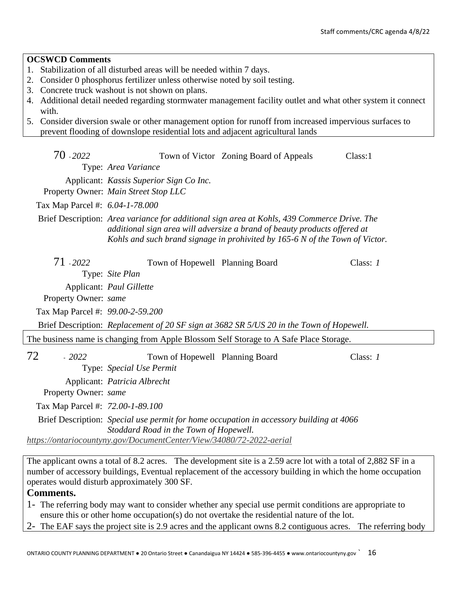## **OCSWCD Comments**

- 1. Stabilization of all disturbed areas will be needed within 7 days.
- 2. Consider 0 phosphorus fertilizer unless otherwise noted by soil testing.
- 3. Concrete truck washout is not shown on plans.
- 4. Additional detail needed regarding stormwater management facility outlet and what other system it connect with.
- 5. Consider diversion swale or other management option for runoff from increased impervious surfaces to prevent flooding of downslope residential lots and adjacent agricultural lands

| 70 - 2022                        |                                         | Town of Victor Zoning Board of Appeals                                                                                                                                                                                                                   | Class:1    |
|----------------------------------|-----------------------------------------|----------------------------------------------------------------------------------------------------------------------------------------------------------------------------------------------------------------------------------------------------------|------------|
|                                  | Type: Area Variance                     |                                                                                                                                                                                                                                                          |            |
|                                  | Applicant: Kassis Superior Sign Co Inc. |                                                                                                                                                                                                                                                          |            |
|                                  | Property Owner: Main Street Stop LLC    |                                                                                                                                                                                                                                                          |            |
| Tax Map Parcel #: 6.04-1-78.000  |                                         |                                                                                                                                                                                                                                                          |            |
|                                  |                                         | Brief Description: Area variance for additional sign area at Kohls, 439 Commerce Drive. The<br>additional sign area will adversize a brand of beauty products offered at<br>Kohls and such brand signage in prohivited by 165-6 N of the Town of Victor. |            |
| 71 - 2022                        | Town of Hopewell Planning Board         |                                                                                                                                                                                                                                                          | Class: $1$ |
|                                  | Type: Site Plan                         |                                                                                                                                                                                                                                                          |            |
|                                  | Applicant: Paul Gillette                |                                                                                                                                                                                                                                                          |            |
| Property Owner: same             |                                         |                                                                                                                                                                                                                                                          |            |
| Tax Map Parcel #: 99.00-2-59.200 |                                         |                                                                                                                                                                                                                                                          |            |
|                                  |                                         | Brief Description: Replacement of 20 SF sign at 3682 SR 5/US 20 in the Town of Hopewell.                                                                                                                                                                 |            |
|                                  |                                         | The business name is changing from Apple Blossom Self Storage to A Safe Place Storage.                                                                                                                                                                   |            |
| 72<br>$-2022$                    | Town of Hopewell Planning Board         |                                                                                                                                                                                                                                                          | Class: 1   |
|                                  | Type: Special Use Permit                |                                                                                                                                                                                                                                                          |            |
|                                  | Applicant: Patricia Albrecht            |                                                                                                                                                                                                                                                          |            |
| Property Owner: same             |                                         |                                                                                                                                                                                                                                                          |            |
| Tax Map Parcel #: 72.00-1-89.100 |                                         |                                                                                                                                                                                                                                                          |            |
|                                  | Stoddard Road in the Town of Hopewell.  | Brief Description: Special use permit for home occupation in accessory building at 4066                                                                                                                                                                  |            |

*<https://ontariocountyny.gov/DocumentCenter/View/34080/72-2022-aerial>*

The applicant owns a total of 8.2 acres. The development site is a 2.59 acre lot with a total of 2,882 SF in a number of accessory buildings, Eventual replacement of the accessory building in which the home occupation operates would disturb approximately 300 SF.

## **Comments.**

- 1- The referring body may want to consider whether any special use permit conditions are appropriate to ensure this or other home occupation(s) do not overtake the residential nature of the lot.
- 2- The EAF says the project site is 2.9 acres and the applicant owns 8.2 contiguous acres. The referring body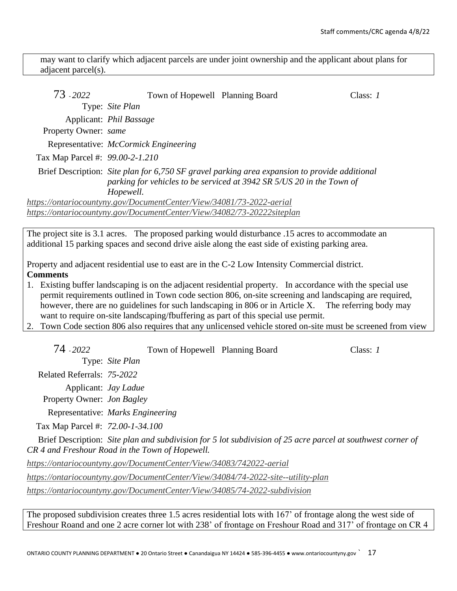may want to clarify which adjacent parcels are under joint ownership and the applicant about plans for adjacent parcel(s).

| 73 - 2022                       | Town of Hopewell Planning Board                                        |                                                                                                                                                                        | Class: $I$ |
|---------------------------------|------------------------------------------------------------------------|------------------------------------------------------------------------------------------------------------------------------------------------------------------------|------------|
|                                 | Type: Site Plan                                                        |                                                                                                                                                                        |            |
|                                 | Applicant: <i>Phil Bassage</i>                                         |                                                                                                                                                                        |            |
| Property Owner: same            |                                                                        |                                                                                                                                                                        |            |
|                                 | Representative: <i>McCormick Engineering</i>                           |                                                                                                                                                                        |            |
| Tax Map Parcel #: 99.00-2-1.210 |                                                                        |                                                                                                                                                                        |            |
|                                 | Hopewell.                                                              | Brief Description: Site plan for 6,750 SF gravel parking area expansion to provide additional<br>parking for vehicles to be serviced at 3942 SR 5/US 20 in the Town of |            |
|                                 | https://ontariocountyny.gov/DocumentCenter/View/34081/73-2022-aerial   |                                                                                                                                                                        |            |
|                                 | https://ontariocountyny.gov/DocumentCenter/View/34082/73-20222siteplan |                                                                                                                                                                        |            |

The project site is 3.1 acres. The proposed parking would disturbance .15 acres to accommodate an additional 15 parking spaces and second drive aisle along the east side of existing parking area.

Property and adjacent residential use to east are in the C-2 Low Intensity Commercial district. **Comments**

- 1. Existing buffer landscaping is on the adjacent residential property. In accordance with the special use permit requirements outlined in Town code section 806, on-site screening and landscaping are required, however, there are no guidelines for such landscaping in 806 or in Article X. The referring body may want to require on-site landscaping/fbuffering as part of this special use permit.
- 2. Town Code section 806 also requires that any unlicensed vehicle stored on-site must be screened from view

| 74 - 2022                         | Town of Hopewell Planning Board                                     |                                                                                                             | Class: $1$ |
|-----------------------------------|---------------------------------------------------------------------|-------------------------------------------------------------------------------------------------------------|------------|
|                                   | Type: Site Plan                                                     |                                                                                                             |            |
| Related Referrals: 75-2022        |                                                                     |                                                                                                             |            |
| Property Owner: <i>Jon Bagley</i> | Applicant: <i>Jay Ladue</i>                                         |                                                                                                             |            |
|                                   | Representative: Marks Engineering                                   |                                                                                                             |            |
| Tax Map Parcel #: 72.00-1-34.100  |                                                                     |                                                                                                             |            |
|                                   | CR 4 and Freshour Road in the Town of Hopewell.                     | Brief Description: Site plan and subdivision for 5 lot subdivision of 25 acre parcel at southwest corner of |            |
|                                   | https://ontariocountyny.gov/DocumentCenter/View/34083/742022-aerial |                                                                                                             |            |

*<https://ontariocountyny.gov/DocumentCenter/View/34084/74-2022-site--utility-plan>*

*<https://ontariocountyny.gov/DocumentCenter/View/34085/74-2022-subdivision>*

The proposed subdivision creates three 1.5 acres residential lots with 167' of frontage along the west side of Freshour Roand and one 2 acre corner lot with 238' of frontage on Freshour Road and 317' of frontage on CR 4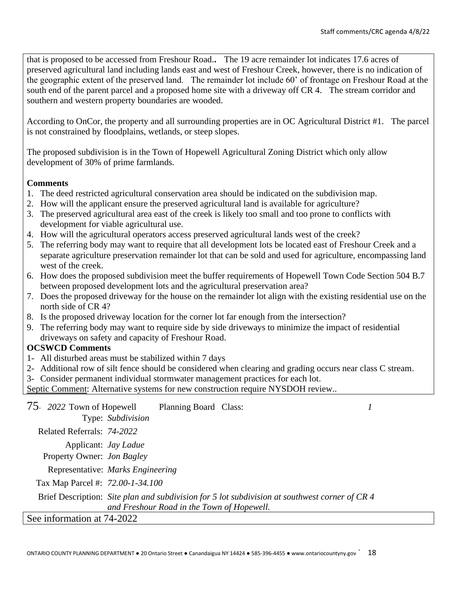that is proposed to be accessed from Freshour Road.**.** The 19 acre remainder lot indicates 17.6 acres of preserved agricultural land including lands east and west of Freshour Creek, however, there is no indication of the geographic extent of the preserved land. The remainder lot include 60' of frontage on Freshour Road at the south end of the parent parcel and a proposed home site with a driveway off CR 4. The stream corridor and southern and western property boundaries are wooded.

According to OnCor, the property and all surrounding properties are in OC Agricultural District #1. The parcel is not constrained by floodplains, wetlands, or steep slopes.

The proposed subdivision is in the Town of Hopewell Agricultural Zoning District which only allow development of 30% of prime farmlands.

# **Comments**

- 1. The deed restricted agricultural conservation area should be indicated on the subdivision map.
- 2. How will the applicant ensure the preserved agricultural land is available for agriculture?
- 3. The preserved agricultural area east of the creek is likely too small and too prone to conflicts with development for viable agricultural use.
- 4. How will the agricultural operators access preserved agricultural lands west of the creek?
- 5. The referring body may want to require that all development lots be located east of Freshour Creek and a separate agriculture preservation remainder lot that can be sold and used for agriculture, encompassing land west of the creek.
- 6. How does the proposed subdivision meet the buffer requirements of Hopewell Town Code Section 504 B.7 between proposed development lots and the agricultural preservation area?
- 7. Does the proposed driveway for the house on the remainder lot align with the existing residential use on the north side of CR 4?
- 8. Is the proposed driveway location for the corner lot far enough from the intersection?
- 9. The referring body may want to require side by side driveways to minimize the impact of residential driveways on safety and capacity of Freshour Road.

# **OCSWCD Comments**

- 1- All disturbed areas must be stabilized within 7 days
- 2- Additional row of silt fence should be considered when clearing and grading occurs near class C stream.
- 3- Consider permanent individual stormwater management practices for each lot.
- Septic Comment: Alternative systems for new construction require NYSDOH review..

| 75 2022 Town of Hopewell          |                   | Planning Board Class:                      |                                                                                                |  |
|-----------------------------------|-------------------|--------------------------------------------|------------------------------------------------------------------------------------------------|--|
|                                   | Type: Subdivision |                                            |                                                                                                |  |
| Related Referrals: 74-2022        |                   |                                            |                                                                                                |  |
| Applicant: <i>Jay Ladue</i>       |                   |                                            |                                                                                                |  |
| Property Owner: <i>Jon Bagley</i> |                   |                                            |                                                                                                |  |
| Representative: Marks Engineering |                   |                                            |                                                                                                |  |
| Tax Map Parcel #: 72.00-1-34.100  |                   |                                            |                                                                                                |  |
|                                   |                   |                                            | Brief Description: Site plan and subdivision for 5 lot subdivision at southwest corner of CR 4 |  |
|                                   |                   | and Freshour Road in the Town of Hopewell. |                                                                                                |  |
| See information at 74-2022        |                   |                                            |                                                                                                |  |